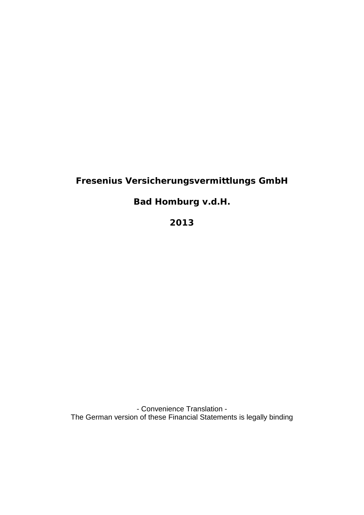# **Fresenius Versicherungsvermittlungs GmbH**

**Bad Homburg v.d.H.**

**2013**

- Convenience Translation - The German version of these Financial Statements is legally binding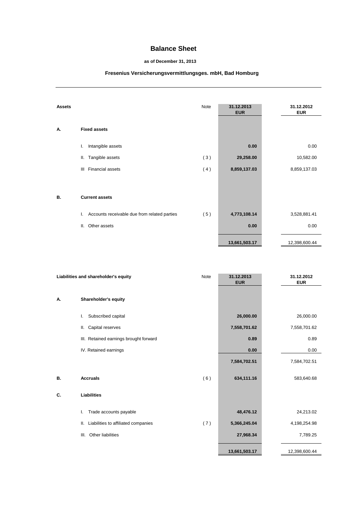## **Balance Sheet**

### **as of December 31, 2013**

# **Fresenius Versicherungsvermittlungsges. mbH, Bad Homburg**

| <b>Assets</b> |                                                    | Note | 31.12.2013<br><b>EUR</b> | 31.12.2012<br><b>EUR</b> |
|---------------|----------------------------------------------------|------|--------------------------|--------------------------|
| А.            | <b>Fixed assets</b>                                |      |                          |                          |
|               | Intangible assets<br>I.                            |      | 0.00                     | 0.00                     |
|               | Tangible assets<br>Ш.                              | (3)  | 29,258.00                | 10,582.00                |
|               | <b>Financial assets</b><br>Ш                       | (4)  | 8,859,137.03             | 8,859,137.03             |
|               |                                                    |      |                          |                          |
| В.            | <b>Current assets</b>                              |      |                          |                          |
|               | Accounts receivable due from related parties<br>I. | (5)  | 4,773,108.14             | 3,528,881.41             |
|               | Other assets<br>Ш.                                 |      | 0.00                     | 0.00                     |
|               |                                                    |      | 13,661,503.17            | 12,398,600.44            |

| Liabilities and shareholder's equity |                                            | Note | 31.12.2013<br><b>EUR</b> | 31.12.2012<br><b>EUR</b> |
|--------------------------------------|--------------------------------------------|------|--------------------------|--------------------------|
| А.                                   | Shareholder's equity                       |      |                          |                          |
|                                      | Subscribed capital<br>L.                   |      | 26,000.00                | 26,000.00                |
|                                      | Capital reserves<br>Ⅱ.                     |      | 7,558,701.62             | 7,558,701.62             |
|                                      | III. Retained earnings brought forward     |      | 0.89                     | 0.89                     |
|                                      | IV. Retained earnings                      |      | 0.00                     | 0.00                     |
|                                      |                                            |      | 7,584,702.51             | 7,584,702.51             |
| В.                                   | <b>Accruals</b>                            | (6)  | 634,111.16               | 583,640.68               |
| C.                                   | <b>Liabilities</b>                         |      |                          |                          |
|                                      | Trade accounts payable<br>I.               |      | 48,476.12                | 24,213.02                |
|                                      | Liabilities to affiliated companies<br>ΙΙ. | (7)  | 5,366,245.04             | 4,198,254.98             |
|                                      | Other liabilities<br>III.                  |      | 27,968.34                | 7,789.25                 |
|                                      |                                            |      | 13,661,503.17            | 12,398,600.44            |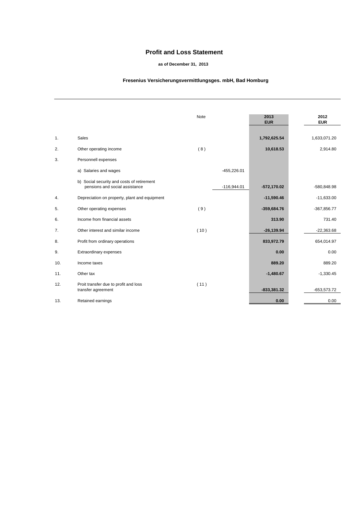## **Profit and Loss Statement**

#### **as of December 31, 2013**

### **Fresenius Versicherungsvermittlungsges. mbH, Bad Homburg**

|     |                                                                              | <b>Note</b> |               | 2013<br><b>EUR</b> | 2012<br><b>EUR</b> |
|-----|------------------------------------------------------------------------------|-------------|---------------|--------------------|--------------------|
| 1.  | <b>Sales</b>                                                                 |             |               | 1,792,625.54       | 1,633,071.20       |
| 2.  | Other operating income                                                       | (8)         |               | 10,618.53          | 2,914.80           |
| 3.  | Personnell expenses                                                          |             |               |                    |                    |
|     | a) Salaries and wages                                                        |             | $-455,226.01$ |                    |                    |
|     | b) Social security and costs of retirement<br>pensions and social assistance |             | $-116,944.01$ | $-572,170.02$      | $-580,848.98$      |
| 4.  | Depreciation on property, plant and equipment                                |             |               | $-11,590.46$       | $-11,633.00$       |
| 5.  | Other operating expenses                                                     | (9)         |               | $-359,684.76$      | $-367,856.77$      |
| 6.  | Income from financial assets                                                 |             |               | 313.90             | 731.40             |
| 7.  | Other interest and similar income                                            | (10)        |               | $-26, 139.94$      | $-22,363.68$       |
| 8.  | Profit from ordinary operations                                              |             |               | 833,972.79         | 654,014.97         |
| 9.  | Extraordinary expenses                                                       |             |               | 0.00               | 0.00               |
| 10. | Income taxes                                                                 |             |               | 889.20             | 889.20             |
| 11. | Other tax                                                                    |             |               | $-1,480.67$        | $-1,330.45$        |
| 12. | Proit transfer due to profit and loss<br>transfer agreement                  | (11)        |               | $-833,381.32$      | $-653,573.72$      |
| 13. | Retained earnings                                                            |             |               | 0.00               | 0.00               |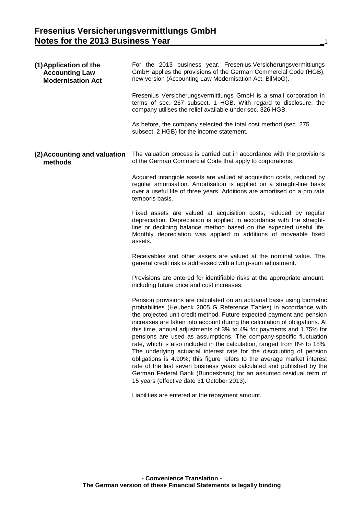| (1) Application of the<br><b>Accounting Law</b><br><b>Modernisation Act</b> | For the 2013 business year, Fresenius Versicherungsvermittlungs<br>GmbH applies the provisions of the German Commercial Code (HGB),<br>new version (Accounting Law Modernisation Act, BilMoG).                                                                                                                                                                                                                                                                                                                                                                                                                                                                                                                                                                                                                                                                               |
|-----------------------------------------------------------------------------|------------------------------------------------------------------------------------------------------------------------------------------------------------------------------------------------------------------------------------------------------------------------------------------------------------------------------------------------------------------------------------------------------------------------------------------------------------------------------------------------------------------------------------------------------------------------------------------------------------------------------------------------------------------------------------------------------------------------------------------------------------------------------------------------------------------------------------------------------------------------------|
|                                                                             | Fresenius Versicherungsvermittlungs GmbH is a small corporation in<br>terms of sec. 267 subsect. 1 HGB. With regard to disclosure, the<br>company utilises the relief available under sec. 326 HGB.                                                                                                                                                                                                                                                                                                                                                                                                                                                                                                                                                                                                                                                                          |
|                                                                             | As before, the company selected the total cost method (sec. 275<br>subsect. 2 HGB) for the income statement.                                                                                                                                                                                                                                                                                                                                                                                                                                                                                                                                                                                                                                                                                                                                                                 |
| (2) Accounting and valuation<br>methods                                     | The valuation process is carried out in accordance with the provisions<br>of the German Commercial Code that apply to corporations.                                                                                                                                                                                                                                                                                                                                                                                                                                                                                                                                                                                                                                                                                                                                          |
|                                                                             | Acquired intangible assets are valued at acquisition costs, reduced by<br>regular amortisation. Amortisation is applied on a straight-line basis<br>over a useful life of three years. Additions are amortised on a pro rata<br>temporis basis.                                                                                                                                                                                                                                                                                                                                                                                                                                                                                                                                                                                                                              |
|                                                                             | Fixed assets are valued at acquisition costs, reduced by regular<br>depreciation. Depreciation is applied in accordance with the straight-<br>line or declining balance method based on the expected useful life.<br>Monthly depreciation was applied to additions of moveable fixed<br>assets.                                                                                                                                                                                                                                                                                                                                                                                                                                                                                                                                                                              |
|                                                                             | Receivables and other assets are valued at the nominal value. The<br>general credit risk is addressed with a lump-sum adjustment.                                                                                                                                                                                                                                                                                                                                                                                                                                                                                                                                                                                                                                                                                                                                            |
|                                                                             | Provisions are entered for identifiable risks at the appropriate amount,<br>including future price and cost increases.                                                                                                                                                                                                                                                                                                                                                                                                                                                                                                                                                                                                                                                                                                                                                       |
|                                                                             | Pension provisions are calculated on an actuarial basis using biometric<br>probabilities (Heubeck 2005 G Reference Tables) in accordance with<br>the projected unit credit method. Future expected payment and pension<br>increases are taken into account during the calculation of obligations. At<br>this time, annual adjustments of 3% to 4% for payments and 1.75% for<br>pensions are used as assumptions. The company-specific fluctuation<br>rate, which is also included in the calculation, ranged from 0% to 18%.<br>The underlying actuarial interest rate for the discounting of pension<br>obligations is 4.90%; this figure refers to the average market interest<br>rate of the last seven business years calculated and published by the<br>German Federal Bank (Bundesbank) for an assumed residual term of<br>15 years (effective date 31 October 2013). |
|                                                                             | Liabilities are entered at the repayment amount.                                                                                                                                                                                                                                                                                                                                                                                                                                                                                                                                                                                                                                                                                                                                                                                                                             |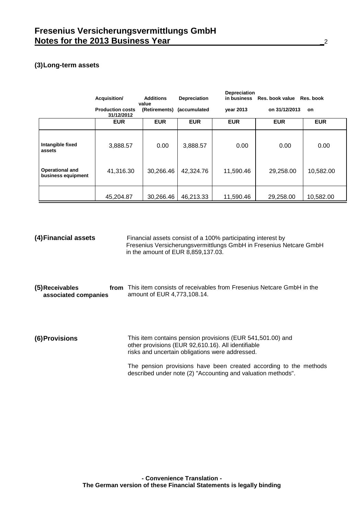# **(3)Long-term assets**

|                                       | Acquisition/                          | <b>Additions</b><br>value  | Depreciation | <b>Depreciation</b><br>in business | Res. book value | Res. book  |
|---------------------------------------|---------------------------------------|----------------------------|--------------|------------------------------------|-----------------|------------|
|                                       | <b>Production costs</b><br>31/12/2012 | (Retirements) (accumulated |              | year 2013                          | on 31/12/2013   | on         |
|                                       | <b>EUR</b>                            | <b>EUR</b>                 | <b>EUR</b>   | <b>EUR</b>                         | <b>EUR</b>      | <b>EUR</b> |
| Intangible fixed<br>assets            | 3,888.57                              | 0.00                       | 3,888.57     | 0.00                               | 0.00            | 0.00       |
| Operational and<br>business equipment | 41,316.30                             | 30,266.46                  | 42,324.76    | 11,590.46                          | 29,258.00       | 10,582.00  |
|                                       | 45,204.87                             | 30,266.46                  | 46,213.33    | 11,590.46                          | 29,258.00       | 10,582.00  |

| (4) Financial assets                   | Financial assets consist of a 100% participating interest by<br>Fresenius Versicherungsvermittlungs GmbH in Fresenius Netcare GmbH<br>in the amount of EUR 8,859,137.03.                                                                                                                                 |
|----------------------------------------|----------------------------------------------------------------------------------------------------------------------------------------------------------------------------------------------------------------------------------------------------------------------------------------------------------|
| (5)Receivables<br>associated companies | from This item consists of receivables from Fresenius Netcare GmbH in the<br>amount of EUR 4,773,108.14.                                                                                                                                                                                                 |
| <b>(6)Provisions</b>                   | This item contains pension provisions (EUR 541,501.00) and<br>other provisions (EUR 92,610.16). All identifiable<br>risks and uncertain obligations were addressed.<br>The pension provisions have been created according to the methods<br>described under note (2) "Accounting and valuation methods". |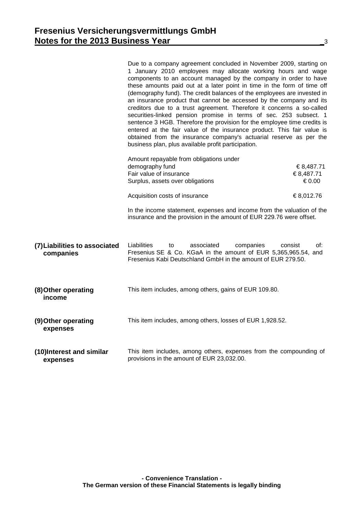|                                            | Due to a company agreement concluded in November 2009, starting on<br>1 January 2010 employees may allocate working hours and wage<br>components to an account managed by the company in order to have<br>these amounts paid out at a later point in time in the form of time off<br>(demography fund). The credit balances of the employees are invested in<br>an insurance product that cannot be accessed by the company and its<br>creditors due to a trust agreement. Therefore it concerns a so-called<br>securities-linked pension promise in terms of sec. 253 subsect. 1<br>sentence 3 HGB. Therefore the provision for the employee time credits is<br>entered at the fair value of the insurance product. This fair value is<br>obtained from the insurance company's actuarial reserve as per the<br>business plan, plus available profit participation. |                                  |
|--------------------------------------------|----------------------------------------------------------------------------------------------------------------------------------------------------------------------------------------------------------------------------------------------------------------------------------------------------------------------------------------------------------------------------------------------------------------------------------------------------------------------------------------------------------------------------------------------------------------------------------------------------------------------------------------------------------------------------------------------------------------------------------------------------------------------------------------------------------------------------------------------------------------------|----------------------------------|
|                                            | Amount repayable from obligations under<br>demography fund<br>Fair value of insurance<br>Surplus, assets over obligations                                                                                                                                                                                                                                                                                                                                                                                                                                                                                                                                                                                                                                                                                                                                            | €8,487.71<br>€8,487.71<br>€ 0.00 |
|                                            | Acquisition costs of insurance                                                                                                                                                                                                                                                                                                                                                                                                                                                                                                                                                                                                                                                                                                                                                                                                                                       | €8,012.76                        |
|                                            | In the income statement, expenses and income from the valuation of the<br>insurance and the provision in the amount of EUR 229.76 were offset.                                                                                                                                                                                                                                                                                                                                                                                                                                                                                                                                                                                                                                                                                                                       |                                  |
| (7) Liabilities to associated<br>companies | Liabilities<br>associated<br>companies<br>to<br>Fresenius SE & Co. KGaA in the amount of EUR 5,365,965.54, and<br>Fresenius Kabi Deutschland GmbH in the amount of EUR 279.50.                                                                                                                                                                                                                                                                                                                                                                                                                                                                                                                                                                                                                                                                                       | of:<br>consist                   |
| (8) Other operating<br>income              | This item includes, among others, gains of EUR 109.80.                                                                                                                                                                                                                                                                                                                                                                                                                                                                                                                                                                                                                                                                                                                                                                                                               |                                  |
| (9) Other operating<br>expenses            | This item includes, among others, losses of EUR 1,928.52.                                                                                                                                                                                                                                                                                                                                                                                                                                                                                                                                                                                                                                                                                                                                                                                                            |                                  |
| (10)Interest and similar<br>expenses       | This item includes, among others, expenses from the compounding of<br>provisions in the amount of EUR 23,032.00.                                                                                                                                                                                                                                                                                                                                                                                                                                                                                                                                                                                                                                                                                                                                                     |                                  |